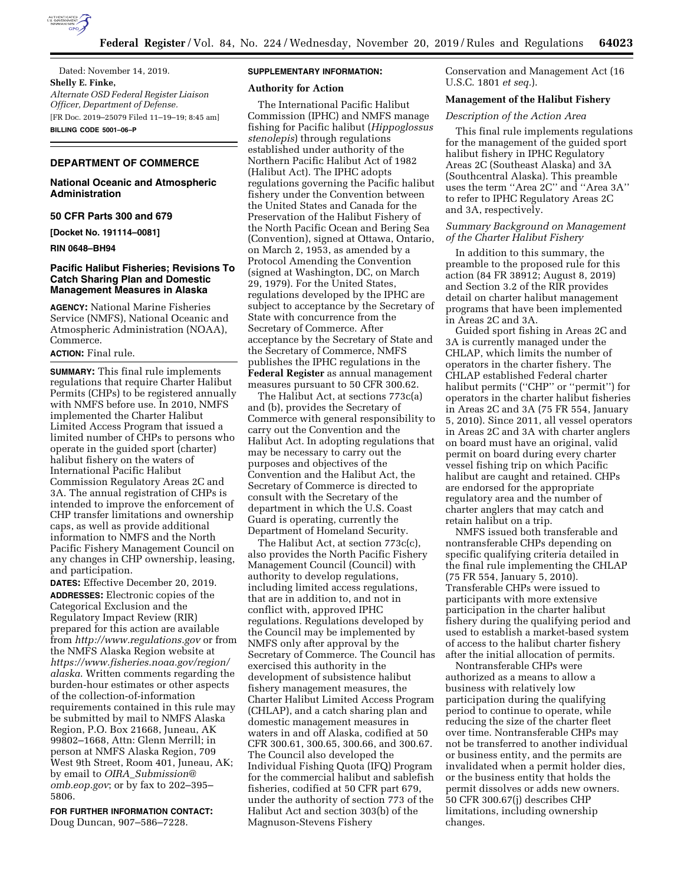

Dated: November 14, 2019. **Shelly E. Finke,**  *Alternate OSD Federal Register Liaison Officer, Department of Defense.*  [FR Doc. 2019–25079 Filed 11–19–19; 8:45 am] **BILLING CODE 5001–06–P** 

## **DEPARTMENT OF COMMERCE**

## **National Oceanic and Atmospheric Administration**

## **50 CFR Parts 300 and 679**

**[Docket No. 191114–0081]** 

### **RIN 0648–BH94**

## **Pacific Halibut Fisheries; Revisions To Catch Sharing Plan and Domestic Management Measures in Alaska**

**AGENCY:** National Marine Fisheries Service (NMFS), National Oceanic and Atmospheric Administration (NOAA), Commerce.

### **ACTION:** Final rule.

**SUMMARY:** This final rule implements regulations that require Charter Halibut Permits (CHPs) to be registered annually with NMFS before use. In 2010, NMFS implemented the Charter Halibut Limited Access Program that issued a limited number of CHPs to persons who operate in the guided sport (charter) halibut fishery on the waters of International Pacific Halibut Commission Regulatory Areas 2C and 3A. The annual registration of CHPs is intended to improve the enforcement of CHP transfer limitations and ownership caps, as well as provide additional information to NMFS and the North Pacific Fishery Management Council on any changes in CHP ownership, leasing, and participation.

**DATES:** Effective December 20, 2019. **ADDRESSES:** Electronic copies of the Categorical Exclusion and the Regulatory Impact Review (RIR) prepared for this action are available from *<http://www.regulations.gov>* or from the NMFS Alaska Region website at *[https://www.fisheries.noaa.gov/region/](https://www.fisheries.noaa.gov/region/alaska)  [alaska](https://www.fisheries.noaa.gov/region/alaska)*. Written comments regarding the burden-hour estimates or other aspects of the collection-of-information requirements contained in this rule may be submitted by mail to NMFS Alaska Region, P.O. Box 21668, Juneau, AK 99802–1668, Attn: Glenn Merrill; in person at NMFS Alaska Region, 709 West 9th Street, Room 401, Juneau, AK; by email to *OIRA*\_*[Submission@](mailto:OIRA_Submission@omb.eop.gov) [omb.eop.gov](mailto:OIRA_Submission@omb.eop.gov)*; or by fax to 202–395– 5806.

**FOR FURTHER INFORMATION CONTACT:**  Doug Duncan, 907–586–7228.

# **SUPPLEMENTARY INFORMATION:**

## **Authority for Action**

The International Pacific Halibut Commission (IPHC) and NMFS manage fishing for Pacific halibut (*Hippoglossus stenolepis*) through regulations established under authority of the Northern Pacific Halibut Act of 1982 (Halibut Act). The IPHC adopts regulations governing the Pacific halibut fishery under the Convention between the United States and Canada for the Preservation of the Halibut Fishery of the North Pacific Ocean and Bering Sea (Convention), signed at Ottawa, Ontario, on March 2, 1953, as amended by a Protocol Amending the Convention (signed at Washington, DC, on March 29, 1979). For the United States, regulations developed by the IPHC are subject to acceptance by the Secretary of State with concurrence from the Secretary of Commerce. After acceptance by the Secretary of State and the Secretary of Commerce, NMFS publishes the IPHC regulations in the **Federal Register** as annual management measures pursuant to 50 CFR 300.62.

The Halibut Act, at sections 773c(a) and (b), provides the Secretary of Commerce with general responsibility to carry out the Convention and the Halibut Act. In adopting regulations that may be necessary to carry out the purposes and objectives of the Convention and the Halibut Act, the Secretary of Commerce is directed to consult with the Secretary of the department in which the U.S. Coast Guard is operating, currently the Department of Homeland Security.

The Halibut Act, at section 773c(c), also provides the North Pacific Fishery Management Council (Council) with authority to develop regulations, including limited access regulations, that are in addition to, and not in conflict with, approved IPHC regulations. Regulations developed by the Council may be implemented by NMFS only after approval by the Secretary of Commerce. The Council has exercised this authority in the development of subsistence halibut fishery management measures, the Charter Halibut Limited Access Program (CHLAP), and a catch sharing plan and domestic management measures in waters in and off Alaska, codified at 50 CFR 300.61, 300.65, 300.66, and 300.67. The Council also developed the Individual Fishing Quota (IFQ) Program for the commercial halibut and sablefish fisheries, codified at 50 CFR part 679, under the authority of section 773 of the Halibut Act and section 303(b) of the Magnuson-Stevens Fishery

Conservation and Management Act (16 U.S.C. 1801 *et seq.*).

## **Management of the Halibut Fishery**

## *Description of the Action Area*

This final rule implements regulations for the management of the guided sport halibut fishery in IPHC Regulatory Areas 2C (Southeast Alaska) and 3A (Southcentral Alaska). This preamble uses the term ''Area 2C'' and ''Area 3A'' to refer to IPHC Regulatory Areas 2C and 3A, respectively.

## *Summary Background on Management of the Charter Halibut Fishery*

In addition to this summary, the preamble to the proposed rule for this action (84 FR 38912; August 8, 2019) and Section 3.2 of the RIR provides detail on charter halibut management programs that have been implemented in Areas 2C and 3A.

Guided sport fishing in Areas 2C and 3A is currently managed under the CHLAP, which limits the number of operators in the charter fishery. The CHLAP established Federal charter halibut permits (''CHP'' or ''permit'') for operators in the charter halibut fisheries in Areas 2C and 3A (75 FR 554, January 5, 2010). Since 2011, all vessel operators in Areas 2C and 3A with charter anglers on board must have an original, valid permit on board during every charter vessel fishing trip on which Pacific halibut are caught and retained. CHPs are endorsed for the appropriate regulatory area and the number of charter anglers that may catch and retain halibut on a trip.

NMFS issued both transferable and nontransferable CHPs depending on specific qualifying criteria detailed in the final rule implementing the CHLAP (75 FR 554, January 5, 2010). Transferable CHPs were issued to participants with more extensive participation in the charter halibut fishery during the qualifying period and used to establish a market-based system of access to the halibut charter fishery after the initial allocation of permits.

Nontransferable CHPs were authorized as a means to allow a business with relatively low participation during the qualifying period to continue to operate, while reducing the size of the charter fleet over time. Nontransferable CHPs may not be transferred to another individual or business entity, and the permits are invalidated when a permit holder dies, or the business entity that holds the permit dissolves or adds new owners. 50 CFR 300.67(j) describes CHP limitations, including ownership changes.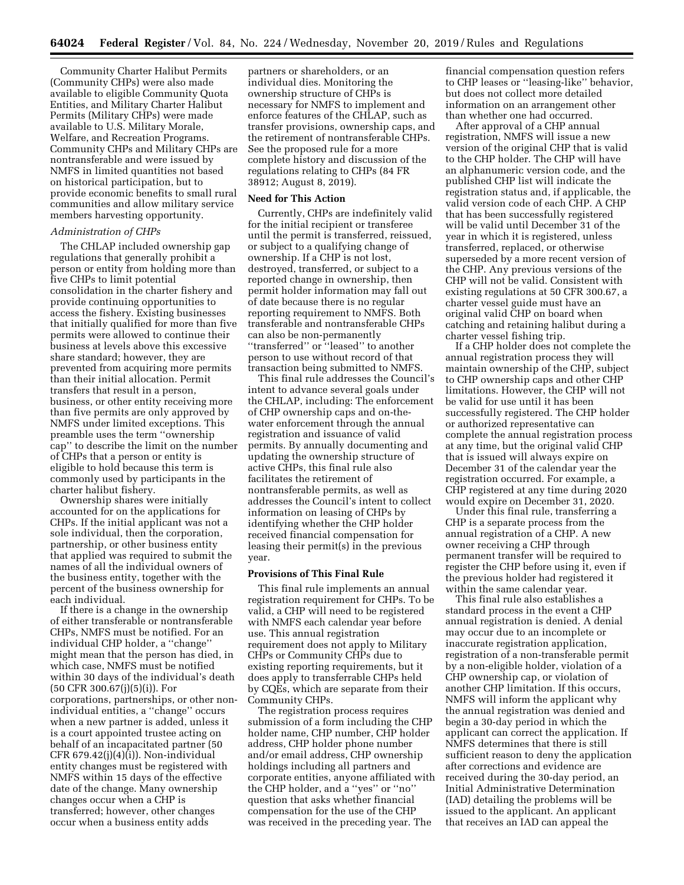Community Charter Halibut Permits (Community CHPs) were also made available to eligible Community Quota Entities, and Military Charter Halibut Permits (Military CHPs) were made available to U.S. Military Morale, Welfare, and Recreation Programs. Community CHPs and Military CHPs are nontransferable and were issued by NMFS in limited quantities not based on historical participation, but to provide economic benefits to small rural communities and allow military service members harvesting opportunity.

## *Administration of CHPs*

The CHLAP included ownership gap regulations that generally prohibit a person or entity from holding more than five CHPs to limit potential consolidation in the charter fishery and provide continuing opportunities to access the fishery. Existing businesses that initially qualified for more than five permits were allowed to continue their business at levels above this excessive share standard; however, they are prevented from acquiring more permits than their initial allocation. Permit transfers that result in a person, business, or other entity receiving more than five permits are only approved by NMFS under limited exceptions. This preamble uses the term ''ownership cap'' to describe the limit on the number of CHPs that a person or entity is eligible to hold because this term is commonly used by participants in the charter halibut fishery.

Ownership shares were initially accounted for on the applications for CHPs. If the initial applicant was not a sole individual, then the corporation, partnership, or other business entity that applied was required to submit the names of all the individual owners of the business entity, together with the percent of the business ownership for each individual.

If there is a change in the ownership of either transferable or nontransferable CHPs, NMFS must be notified. For an individual CHP holder, a ''change'' might mean that the person has died, in which case, NMFS must be notified within 30 days of the individual's death (50 CFR 300.67(j)(5)(i)). For corporations, partnerships, or other nonindividual entities, a ''change'' occurs when a new partner is added, unless it is a court appointed trustee acting on behalf of an incapacitated partner (50 CFR 679.42(j)(4)(i)). Non-individual entity changes must be registered with NMFS within 15 days of the effective date of the change. Many ownership changes occur when a CHP is transferred; however, other changes occur when a business entity adds

partners or shareholders, or an individual dies. Monitoring the ownership structure of CHPs is necessary for NMFS to implement and enforce features of the CHLAP, such as transfer provisions, ownership caps, and the retirement of nontransferable CHPs. See the proposed rule for a more complete history and discussion of the regulations relating to CHPs (84 FR 38912; August 8, 2019).

## **Need for This Action**

Currently, CHPs are indefinitely valid for the initial recipient or transferee until the permit is transferred, reissued, or subject to a qualifying change of ownership. If a CHP is not lost, destroyed, transferred, or subject to a reported change in ownership, then permit holder information may fall out of date because there is no regular reporting requirement to NMFS. Both transferable and nontransferable CHPs can also be non-permanently ''transferred'' or ''leased'' to another person to use without record of that transaction being submitted to NMFS.

This final rule addresses the Council's intent to advance several goals under the CHLAP, including: The enforcement of CHP ownership caps and on-thewater enforcement through the annual registration and issuance of valid permits. By annually documenting and updating the ownership structure of active CHPs, this final rule also facilitates the retirement of nontransferable permits, as well as addresses the Council's intent to collect information on leasing of CHPs by identifying whether the CHP holder received financial compensation for leasing their permit(s) in the previous year.

### **Provisions of This Final Rule**

This final rule implements an annual registration requirement for CHPs. To be valid, a CHP will need to be registered with NMFS each calendar year before use. This annual registration requirement does not apply to Military CHPs or Community CHPs due to existing reporting requirements, but it does apply to transferrable CHPs held by CQEs, which are separate from their Community CHPs.

The registration process requires submission of a form including the CHP holder name, CHP number, CHP holder address, CHP holder phone number and/or email address, CHP ownership holdings including all partners and corporate entities, anyone affiliated with the CHP holder, and a ''yes'' or ''no'' question that asks whether financial compensation for the use of the CHP was received in the preceding year. The

financial compensation question refers to CHP leases or ''leasing-like'' behavior, but does not collect more detailed information on an arrangement other than whether one had occurred.

After approval of a CHP annual registration, NMFS will issue a new version of the original CHP that is valid to the CHP holder. The CHP will have an alphanumeric version code, and the published CHP list will indicate the registration status and, if applicable, the valid version code of each CHP. A CHP that has been successfully registered will be valid until December 31 of the year in which it is registered, unless transferred, replaced, or otherwise superseded by a more recent version of the CHP. Any previous versions of the CHP will not be valid. Consistent with existing regulations at 50 CFR 300.67, a charter vessel guide must have an original valid CHP on board when catching and retaining halibut during a charter vessel fishing trip.

If a CHP holder does not complete the annual registration process they will maintain ownership of the CHP, subject to CHP ownership caps and other CHP limitations. However, the CHP will not be valid for use until it has been successfully registered. The CHP holder or authorized representative can complete the annual registration process at any time, but the original valid CHP that is issued will always expire on December 31 of the calendar year the registration occurred. For example, a CHP registered at any time during 2020 would expire on December 31, 2020.

Under this final rule, transferring a CHP is a separate process from the annual registration of a CHP. A new owner receiving a CHP through permanent transfer will be required to register the CHP before using it, even if the previous holder had registered it within the same calendar year.

This final rule also establishes a standard process in the event a CHP annual registration is denied. A denial may occur due to an incomplete or inaccurate registration application, registration of a non-transferable permit by a non-eligible holder, violation of a CHP ownership cap, or violation of another CHP limitation. If this occurs, NMFS will inform the applicant why the annual registration was denied and begin a 30-day period in which the applicant can correct the application. If NMFS determines that there is still sufficient reason to deny the application after corrections and evidence are received during the 30-day period, an Initial Administrative Determination (IAD) detailing the problems will be issued to the applicant. An applicant that receives an IAD can appeal the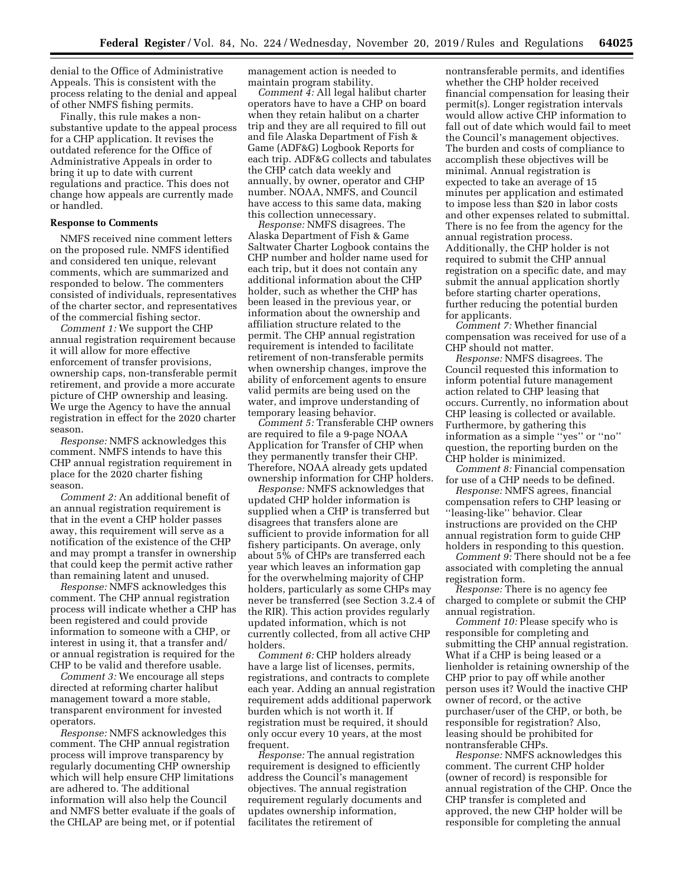denial to the Office of Administrative Appeals. This is consistent with the process relating to the denial and appeal of other NMFS fishing permits.

Finally, this rule makes a nonsubstantive update to the appeal process for a CHP application. It revises the outdated reference for the Office of Administrative Appeals in order to bring it up to date with current regulations and practice. This does not change how appeals are currently made or handled.

### **Response to Comments**

NMFS received nine comment letters on the proposed rule. NMFS identified and considered ten unique, relevant comments, which are summarized and responded to below. The commenters consisted of individuals, representatives of the charter sector, and representatives of the commercial fishing sector.

*Comment 1:* We support the CHP annual registration requirement because it will allow for more effective enforcement of transfer provisions, ownership caps, non-transferable permit retirement, and provide a more accurate picture of CHP ownership and leasing. We urge the Agency to have the annual registration in effect for the 2020 charter season.

*Response:* NMFS acknowledges this comment. NMFS intends to have this CHP annual registration requirement in place for the 2020 charter fishing season.

*Comment 2:* An additional benefit of an annual registration requirement is that in the event a CHP holder passes away, this requirement will serve as a notification of the existence of the CHP and may prompt a transfer in ownership that could keep the permit active rather than remaining latent and unused.

*Response:* NMFS acknowledges this comment. The CHP annual registration process will indicate whether a CHP has been registered and could provide information to someone with a CHP, or interest in using it, that a transfer and/ or annual registration is required for the CHP to be valid and therefore usable.

*Comment 3:* We encourage all steps directed at reforming charter halibut management toward a more stable, transparent environment for invested operators.

*Response:* NMFS acknowledges this comment. The CHP annual registration process will improve transparency by regularly documenting CHP ownership which will help ensure CHP limitations are adhered to. The additional information will also help the Council and NMFS better evaluate if the goals of the CHLAP are being met, or if potential management action is needed to maintain program stability.

*Comment 4:* All legal halibut charter operators have to have a CHP on board when they retain halibut on a charter trip and they are all required to fill out and file Alaska Department of Fish & Game (ADF&G) Logbook Reports for each trip. ADF&G collects and tabulates the CHP catch data weekly and annually, by owner, operator and CHP number. NOAA, NMFS, and Council have access to this same data, making this collection unnecessary.

*Response:* NMFS disagrees. The Alaska Department of Fish & Game Saltwater Charter Logbook contains the CHP number and holder name used for each trip, but it does not contain any additional information about the CHP holder, such as whether the CHP has been leased in the previous year, or information about the ownership and affiliation structure related to the permit. The CHP annual registration requirement is intended to facilitate retirement of non-transferable permits when ownership changes, improve the ability of enforcement agents to ensure valid permits are being used on the water, and improve understanding of temporary leasing behavior.

*Comment 5:* Transferable CHP owners are required to file a 9-page NOAA Application for Transfer of CHP when they permanently transfer their CHP. Therefore, NOAA already gets updated ownership information for CHP holders.

*Response:* NMFS acknowledges that updated CHP holder information is supplied when a CHP is transferred but disagrees that transfers alone are sufficient to provide information for all fishery participants. On average, only about 5% of CHPs are transferred each year which leaves an information gap for the overwhelming majority of CHP holders, particularly as some CHPs may never be transferred (see Section 3.2.4 of the RIR). This action provides regularly updated information, which is not currently collected, from all active CHP holders.

*Comment 6:* CHP holders already have a large list of licenses, permits, registrations, and contracts to complete each year. Adding an annual registration requirement adds additional paperwork burden which is not worth it. If registration must be required, it should only occur every 10 years, at the most frequent.

*Response:* The annual registration requirement is designed to efficiently address the Council's management objectives. The annual registration requirement regularly documents and updates ownership information, facilitates the retirement of

nontransferable permits, and identifies whether the CHP holder received financial compensation for leasing their permit(s). Longer registration intervals would allow active CHP information to fall out of date which would fail to meet the Council's management objectives. The burden and costs of compliance to accomplish these objectives will be minimal. Annual registration is expected to take an average of 15 minutes per application and estimated to impose less than \$20 in labor costs and other expenses related to submittal. There is no fee from the agency for the annual registration process. Additionally, the CHP holder is not required to submit the CHP annual registration on a specific date, and may submit the annual application shortly before starting charter operations, further reducing the potential burden for applicants.

*Comment 7:* Whether financial compensation was received for use of a CHP should not matter.

*Response:* NMFS disagrees. The Council requested this information to inform potential future management action related to CHP leasing that occurs. Currently, no information about CHP leasing is collected or available. Furthermore, by gathering this information as a simple ''yes'' or ''no'' question, the reporting burden on the CHP holder is minimized.

*Comment 8:* Financial compensation for use of a CHP needs to be defined.

*Response:* NMFS agrees, financial compensation refers to CHP leasing or ''leasing-like'' behavior. Clear instructions are provided on the CHP annual registration form to guide CHP holders in responding to this question.

*Comment 9:* There should not be a fee associated with completing the annual registration form.

*Response:* There is no agency fee charged to complete or submit the CHP annual registration.

*Comment 10:* Please specify who is responsible for completing and submitting the CHP annual registration. What if a CHP is being leased or a lienholder is retaining ownership of the CHP prior to pay off while another person uses it? Would the inactive CHP owner of record, or the active purchaser/user of the CHP, or both, be responsible for registration? Also, leasing should be prohibited for nontransferable CHPs.

*Response:* NMFS acknowledges this comment. The current CHP holder (owner of record) is responsible for annual registration of the CHP. Once the CHP transfer is completed and approved, the new CHP holder will be responsible for completing the annual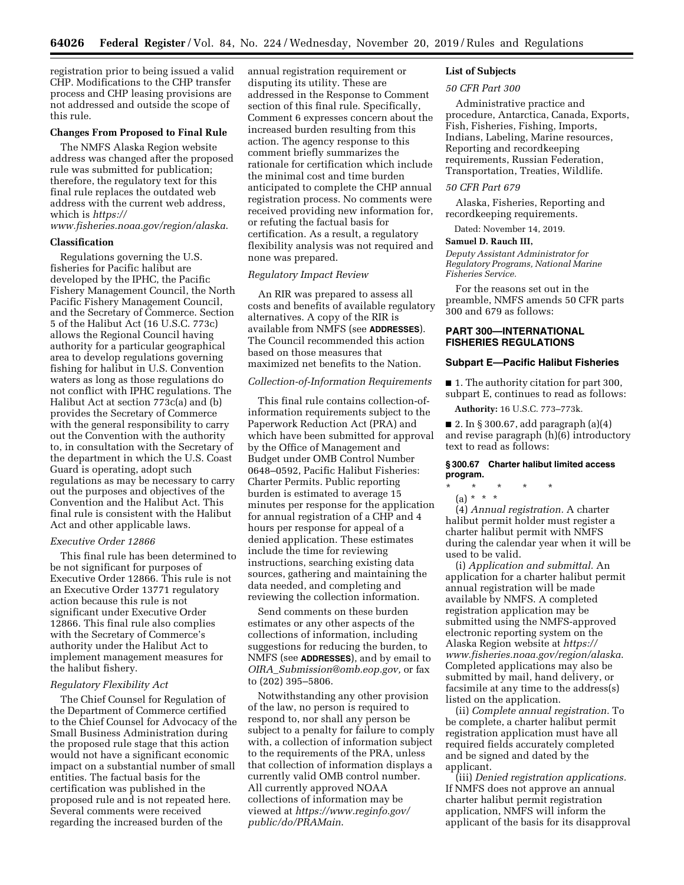registration prior to being issued a valid CHP. Modifications to the CHP transfer process and CHP leasing provisions are not addressed and outside the scope of this rule.

## **Changes From Proposed to Final Rule**

The NMFS Alaska Region website address was changed after the proposed rule was submitted for publication; therefore, the regulatory text for this final rule replaces the outdated web address with the current web address, which is *[https://](https://www.fisheries.noaa.gov/region/alaska)*

# *[www.fisheries.noaa.gov/region/alaska](https://www.fisheries.noaa.gov/region/alaska)*.

## **Classification**

Regulations governing the U.S. fisheries for Pacific halibut are developed by the IPHC, the Pacific Fishery Management Council, the North Pacific Fishery Management Council, and the Secretary of Commerce. Section 5 of the Halibut Act (16 U.S.C. 773c) allows the Regional Council having authority for a particular geographical area to develop regulations governing fishing for halibut in U.S. Convention waters as long as those regulations do not conflict with IPHC regulations. The Halibut Act at section 773c(a) and (b) provides the Secretary of Commerce with the general responsibility to carry out the Convention with the authority to, in consultation with the Secretary of the department in which the U.S. Coast Guard is operating, adopt such regulations as may be necessary to carry out the purposes and objectives of the Convention and the Halibut Act. This final rule is consistent with the Halibut Act and other applicable laws.

### *Executive Order 12866*

This final rule has been determined to be not significant for purposes of Executive Order 12866. This rule is not an Executive Order 13771 regulatory action because this rule is not significant under Executive Order 12866. This final rule also complies with the Secretary of Commerce's authority under the Halibut Act to implement management measures for the halibut fishery.

### *Regulatory Flexibility Act*

The Chief Counsel for Regulation of the Department of Commerce certified to the Chief Counsel for Advocacy of the Small Business Administration during the proposed rule stage that this action would not have a significant economic impact on a substantial number of small entities. The factual basis for the certification was published in the proposed rule and is not repeated here. Several comments were received regarding the increased burden of the

annual registration requirement or disputing its utility. These are addressed in the Response to Comment section of this final rule. Specifically, Comment 6 expresses concern about the increased burden resulting from this action. The agency response to this comment briefly summarizes the rationale for certification which include the minimal cost and time burden anticipated to complete the CHP annual registration process. No comments were received providing new information for, or refuting the factual basis for certification. As a result, a regulatory flexibility analysis was not required and none was prepared.

### *Regulatory Impact Review*

An RIR was prepared to assess all costs and benefits of available regulatory alternatives. A copy of the RIR is available from NMFS (see **ADDRESSES**). The Council recommended this action based on those measures that maximized net benefits to the Nation.

## *Collection-of-Information Requirements*

This final rule contains collection-ofinformation requirements subject to the Paperwork Reduction Act (PRA) and which have been submitted for approval by the Office of Management and Budget under OMB Control Number 0648–0592, Pacific Halibut Fisheries: Charter Permits. Public reporting burden is estimated to average 15 minutes per response for the application for annual registration of a CHP and 4 hours per response for appeal of a denied application. These estimates include the time for reviewing instructions, searching existing data sources, gathering and maintaining the data needed, and completing and reviewing the collection information.

Send comments on these burden estimates or any other aspects of the collections of information, including suggestions for reducing the burden, to NMFS (see **ADDRESSES**), and by email to *OIRA*\_*[Submission@omb.eop.gov,](mailto:OIRA_Submission@omb.eop.gov)* or fax to (202) 395–5806.

Notwithstanding any other provision of the law, no person is required to respond to, nor shall any person be subject to a penalty for failure to comply with, a collection of information subject to the requirements of the PRA, unless that collection of information displays a currently valid OMB control number. All currently approved NOAA collections of information may be viewed at *[https://www.reginfo.gov/](https://www.reginfo.gov/public/do/PRAMain)  [public/do/PRAMain](https://www.reginfo.gov/public/do/PRAMain)*.

### **List of Subjects**

### *50 CFR Part 300*

Administrative practice and procedure, Antarctica, Canada, Exports, Fish, Fisheries, Fishing, Imports, Indians, Labeling, Marine resources, Reporting and recordkeeping requirements, Russian Federation, Transportation, Treaties, Wildlife.

### *50 CFR Part 679*

Alaska, Fisheries, Reporting and recordkeeping requirements.

Dated: November 14, 2019.

### **Samuel D. Rauch III,**

*Deputy Assistant Administrator for Regulatory Programs, National Marine Fisheries Service.* 

For the reasons set out in the preamble, NMFS amends 50 CFR parts 300 and 679 as follows:

## **PART 300—INTERNATIONAL FISHERIES REGULATIONS**

### **Subpart E—Pacific Halibut Fisheries**

■ 1. The authority citation for part 300, subpart E, continues to read as follows:

**Authority:** 16 U.S.C. 773–773k.

■ 2. In § 300.67, add paragraph  $(a)(4)$ and revise paragraph (h)(6) introductory text to read as follows:

### **§ 300.67 Charter halibut limited access program.**

- \* \* \* \* \*
	- $(a) * * * *$

(4) *Annual registration.* A charter halibut permit holder must register a charter halibut permit with NMFS during the calendar year when it will be used to be valid.

(i) *Application and submittal.* An application for a charter halibut permit annual registration will be made available by NMFS. A completed registration application may be submitted using the NMFS-approved electronic reporting system on the Alaska Region website at *[https://](https://www.fisheries.noaa.gov/region/alaska) [www.fisheries.noaa.gov/region/alaska](https://www.fisheries.noaa.gov/region/alaska)*. Completed applications may also be submitted by mail, hand delivery, or facsimile at any time to the address(s) listed on the application.

(ii) *Complete annual registration.* To be complete, a charter halibut permit registration application must have all required fields accurately completed and be signed and dated by the applicant.

(iii) *Denied registration applications.*  If NMFS does not approve an annual charter halibut permit registration application, NMFS will inform the applicant of the basis for its disapproval